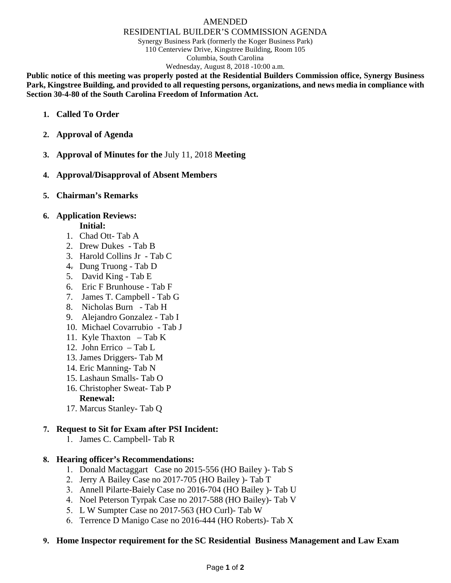#### AMENDED

#### RESIDENTIAL BUILDER'S COMMISSION AGENDA

Synergy Business Park (formerly the Koger Business Park) 110 Centerview Drive, Kingstree Building, Room 105

Columbia, South Carolina

Wednesday, August 8, 2018 -10:00 a.m.

**Public notice of this meeting was properly posted at the Residential Builders Commission office, Synergy Business Park, Kingstree Building, and provided to all requesting persons, organizations, and news media in compliance with Section 30-4-80 of the South Carolina Freedom of Information Act.**

- **1. Called To Order**
- **2. Approval of Agenda**
- **3. Approval of Minutes for the** July 11, 2018 **Meeting**
- **4. Approval/Disapproval of Absent Members**
- **5. Chairman's Remarks**

## **6. Application Reviews:**

#### **Initial:**

- 1. Chad Ott- Tab A
- 2. Drew Dukes Tab B
- 3. Harold Collins Jr Tab C
- 4. Dung Truong Tab D
- 5. David King Tab E
- 6. Eric F Brunhouse Tab F
- 7. James T. Campbell Tab G
- 8. Nicholas Burn Tab H
- 9. Alejandro Gonzalez Tab I
- 10. Michael Covarrubio Tab J
- 11. Kyle Thaxton Tab K
- 12. John Errico Tab L
- 13. James Driggers- Tab M
- 14. Eric Manning- Tab N
- 15. Lashaun Smalls- Tab O
- 16. Christopher Sweat- Tab P

## **Renewal:**

17. Marcus Stanley- Tab Q

## **7. Request to Sit for Exam after PSI Incident:**

1. James C. Campbell- Tab R

## **8. Hearing officer's Recommendations:**

- 1. Donald Mactaggart Case no 2015-556 (HO Bailey )- Tab S
- 2. Jerry A Bailey Case no 2017-705 (HO Bailey )- Tab T
- 3. Annell Pilarte-Baiely Case no 2016-704 (HO Bailey )- Tab U
- 4. Noel Peterson Tyrpak Case no 2017-588 (HO Bailey)- Tab V
- 5. L W Sumpter Case no 2017-563 (HO Curl)- Tab W
- 6. Terrence D Manigo Case no 2016-444 (HO Roberts)- Tab X

## **9. Home Inspector requirement for the SC Residential Business Management and Law Exam**